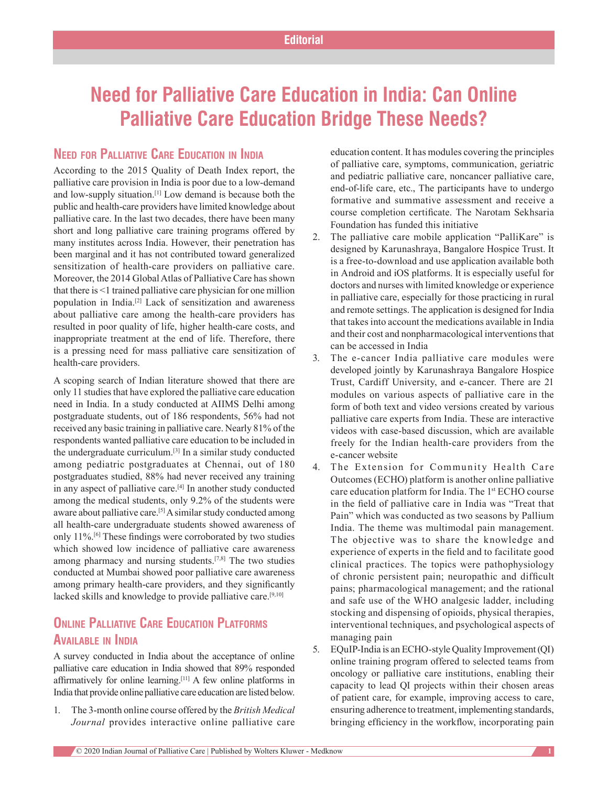# **Need for Palliative Care Education in India: Can Online Palliative Care Education Bridge These Needs?**

### **Need for Palliative Care Education in India**

According to the 2015 Quality of Death Index report, the palliative care provision in India is poor due to a low‑demand and low-supply situation.<sup>[1]</sup> Low demand is because both the public and health‑care providers have limited knowledge about palliative care. In the last two decades, there have been many short and long palliative care training programs offered by many institutes across India. However, their penetration has been marginal and it has not contributed toward generalized sensitization of health-care providers on palliative care. Moreover, the 2014 Global Atlas of Palliative Care has shown that there is <1 trained palliative care physician for one million population in India.[2] Lack of sensitization and awareness about palliative care among the health-care providers has resulted in poor quality of life, higher health-care costs, and inappropriate treatment at the end of life. Therefore, there is a pressing need for mass palliative care sensitization of health-care providers.

A scoping search of Indian literature showed that there are only 11 studies that have explored the palliative care education need in India. In a study conducted at AIIMS Delhi among postgraduate students, out of 186 respondents, 56% had not received any basic training in palliative care. Nearly 81% of the respondents wanted palliative care education to be included in the undergraduate curriculum.[3] In a similar study conducted among pediatric postgraduates at Chennai, out of 180 postgraduates studied, 88% had never received any training in any aspect of palliative care.<sup>[4]</sup> In another study conducted among the medical students, only 9.2% of the students were aware about palliative care.<sup>[5]</sup> A similar study conducted among all health-care undergraduate students showed awareness of only 11%.[6] These findings were corroborated by two studies which showed low incidence of palliative care awareness among pharmacy and nursing students.[7,8] The two studies conducted at Mumbai showed poor palliative care awareness among primary health-care providers, and they significantly lacked skills and knowledge to provide palliative care.[9,10]

## **ONLINE PALLIATIVE CARE EDUCATION PLATFORMS Available in India**

A survey conducted in India about the acceptance of online palliative care education in India showed that 89% responded affirmatively for online learning.[11] A few online platforms in India that provide online palliative care education are listed below.

1. The 3‑month online course offered by the *British Medical Journal* provides interactive online palliative care

education content. It has modules covering the principles of palliative care, symptoms, communication, geriatric and pediatric palliative care, noncancer palliative care, end-of-life care, etc., The participants have to undergo formative and summative assessment and receive a course completion certificate. The Narotam Sekhsaria Foundation has funded this initiative

- 2. The palliative care mobile application "PalliKare" is designed by Karunashraya, Bangalore Hospice Trust. It is a free-to-download and use application available both in Android and iOS platforms. It is especially useful for doctors and nurses with limited knowledge or experience in palliative care, especially for those practicing in rural and remote settings. The application is designed for India that takes into account the medications available in India and their cost and nonpharmacological interventions that can be accessed in India
- 3. The e-cancer India palliative care modules were developed jointly by Karunashraya Bangalore Hospice Trust, Cardiff University, and e-cancer. There are 21 modules on various aspects of palliative care in the form of both text and video versions created by various palliative care experts from India. These are interactive videos with case-based discussion, which are available freely for the Indian health-care providers from the e‑cancer website
- 4. The Extension for Community Health Care Outcomes (ECHO) platform is another online palliative care education platform for India. The 1st ECHO course in the field of palliative care in India was "Treat that Pain" which was conducted as two seasons by Pallium India. The theme was multimodal pain management. The objective was to share the knowledge and experience of experts in the field and to facilitate good clinical practices. The topics were pathophysiology of chronic persistent pain; neuropathic and difficult pains; pharmacological management; and the rational and safe use of the WHO analgesic ladder, including stocking and dispensing of opioids, physical therapies, interventional techniques, and psychological aspects of managing pain
- 5. EQuIP-India is an ECHO-style Quality Improvement (QI) online training program offered to selected teams from oncology or palliative care institutions, enabling their capacity to lead QI projects within their chosen areas of patient care, for example, improving access to care, ensuring adherence to treatment, implementing standards, bringing efficiency in the workflow, incorporating pain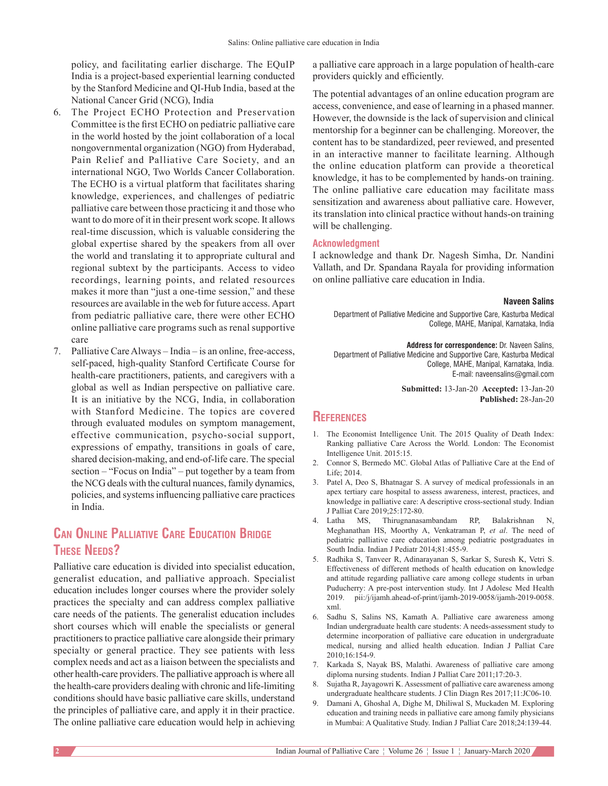policy, and facilitating earlier discharge. The EQuIP India is a project-based experiential learning conducted by the Stanford Medicine and QI‑Hub India, based at the National Cancer Grid (NCG), India

- 6. The Project ECHO Protection and Preservation Committee is the first ECHO on pediatric palliative care in the world hosted by the joint collaboration of a local nongovernmental organization (NGO) from Hyderabad, Pain Relief and Palliative Care Society, and an international NGO, Two Worlds Cancer Collaboration. The ECHO is a virtual platform that facilitates sharing knowledge, experiences, and challenges of pediatric palliative care between those practicing it and those who want to do more of it in their present work scope. It allows real-time discussion, which is valuable considering the global expertise shared by the speakers from all over the world and translating it to appropriate cultural and regional subtext by the participants. Access to video recordings, learning points, and related resources makes it more than "just a one-time session," and these resources are available in the web for future access. Apart from pediatric palliative care, there were other ECHO online palliative care programs such as renal supportive care
- 7. Palliative Care Always India is an online, free-access, self-paced, high-quality Stanford Certificate Course for health-care practitioners, patients, and caregivers with a global as well as Indian perspective on palliative care. It is an initiative by the NCG, India, in collaboration with Stanford Medicine. The topics are covered through evaluated modules on symptom management, effective communication, psycho‑social support, expressions of empathy, transitions in goals of care, shared decision-making, and end-of-life care. The special section – "Focus on India" – put together by a team from the NCG deals with the cultural nuances, family dynamics, policies, and systems influencing palliative care practices in India.

## **Can Online Palliative Care Education Bridge These Needs?**

Palliative care education is divided into specialist education, generalist education, and palliative approach. Specialist education includes longer courses where the provider solely practices the specialty and can address complex palliative care needs of the patients. The generalist education includes short courses which will enable the specialists or general practitioners to practice palliative care alongside their primary specialty or general practice. They see patients with less complex needs and act as a liaison between the specialists and other health‑care providers. The palliative approach is where all the health-care providers dealing with chronic and life-limiting conditions should have basic palliative care skills, understand the principles of palliative care, and apply it in their practice. The online palliative care education would help in achieving

a palliative care approach in a large population of health-care providers quickly and efficiently.

The potential advantages of an online education program are access, convenience, and ease of learning in a phased manner. However, the downside is the lack of supervision and clinical mentorship for a beginner can be challenging. Moreover, the content has to be standardized, peer reviewed, and presented in an interactive manner to facilitate learning. Although the online education platform can provide a theoretical knowledge, it has to be complemented by hands‑on training. The online palliative care education may facilitate mass sensitization and awareness about palliative care. However, its translation into clinical practice without hands‑on training will be challenging.

#### **Acknowledgment**

I acknowledge and thank Dr. Nagesh Simha, Dr. Nandini Vallath, and Dr. Spandana Rayala for providing information on online palliative care education in India.

#### **Naveen Salins**

Department of Palliative Medicine and Supportive Care, Kasturba Medical College, MAHE, Manipal, Karnataka, India

**Address for correspondence:** Dr. Naveen Salins, Department of Palliative Medicine and Supportive Care, Kasturba Medical College, MAHE, Manipal, Karnataka, India. E‑mail: naveensalins@gmail.com

> **Submitted:** 13-Jan-20 **Accepted:** 13-Jan-20 **Published:** 28-Jan-20

#### **References**

- 1. The Economist Intelligence Unit. The 2015 Quality of Death Index: Ranking palliative Care Across the World. London: The Economist Intelligence Unit. 2015:15.
- 2. Connor S, Bermedo MC. Global Atlas of Palliative Care at the End of Life; 2014.
- 3. Patel A, Deo S, Bhatnagar S. A survey of medical professionals in an apex tertiary care hospital to assess awareness, interest, practices, and knowledge in palliative care: A descriptive cross‑sectional study. Indian J Palliat Care 2019;25:172‑80.
- 4. Latha MS, Thirugnanasambandam RP, Balakrishnan N, Meghanathan HS, Moorthy A, Venkatraman P, *et al*. The need of pediatric palliative care education among pediatric postgraduates in South India. Indian J Pediatr 2014;81:455‑9.
- 5. Radhika S, Tanveer R, Adinarayanan S, Sarkar S, Suresh K, Vetri S. Effectiveness of different methods of health education on knowledge and attitude regarding palliative care among college students in urban Puducherry: A pre‑post intervention study. Int J Adolesc Med Health 2019. pii:/j/ijamh.ahead‑of‑print/ijamh‑2019‑0058/ijamh‑2019‑0058. xml.
- 6. Sadhu S, Salins NS, Kamath A. Palliative care awareness among Indian undergraduate health care students: A needs‑assessment study to determine incorporation of palliative care education in undergraduate medical, nursing and allied health education. Indian J Palliat Care 2010;16:154‑9.
- 7. Karkada S, Nayak BS, Malathi. Awareness of palliative care among diploma nursing students. Indian J Palliat Care 2011;17:20‑3.
- 8. Sujatha R, Jayagowri K. Assessment of palliative care awareness among undergraduate healthcare students. J Clin Diagn Res 2017;11:JC06-10.
- 9. Damani A, Ghoshal A, Dighe M, Dhiliwal S, Muckaden M. Exploring education and training needs in palliative care among family physicians in Mumbai: A Qualitative Study. Indian J Palliat Care 2018;24:139-44.